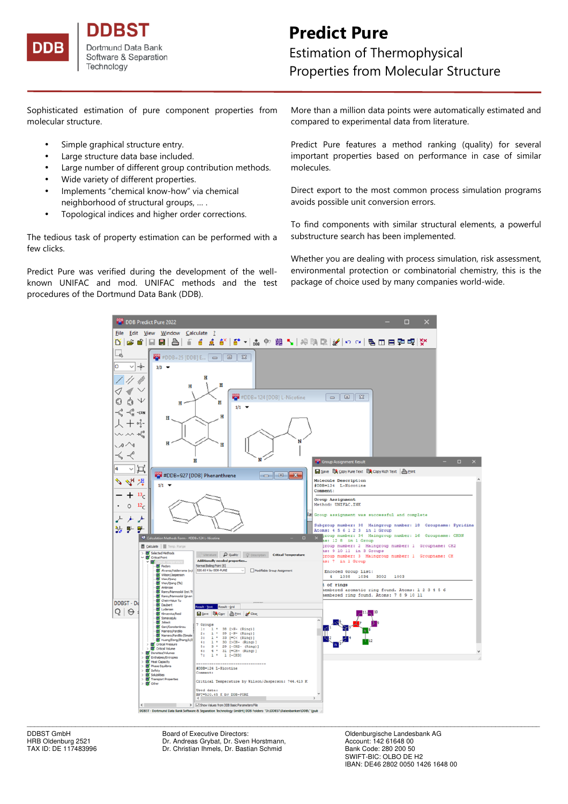

nes Dortmund Data Bank Software & Separation Technology

# **Predict Pure**

Estimation of Thermophysical Properties from Molecular Structure

Sophisticated estimation of pure component properties from molecular structure.

- Simple graphical structure entry.
- Large structure data base included.
- Large number of different group contribution methods.
- Wide variety of different properties.
- Implements "chemical know-how" via chemical neighborhood of structural groups, … .
- Topological indices and higher order corrections.

The tedious task of property estimation can be performed with a few clicks.

Predict Pure was verified during the development of the wellknown UNIFAC and mod. UNIFAC methods and the test procedures of the Dortmund Data Bank (DDB).

More than a million data points were automatically estimated and compared to experimental data from literature.

Predict Pure features a method ranking (quality) for several important properties based on performance in case of similar molecules.

Direct export to the most common process simulation programs avoids possible unit conversion errors.

To find components with similar structural elements, a powerful substructure search has been implemented.

Whether you are dealing with process simulation, risk assessment, environmental protection or combinatorial chemistry, this is the package of choice used by many companies world-wide.



DDBST GmbH Board of Executive Directors: Cambrell Coldenburgische Landesbank AG<br>
Board of Executive Directors: Coldenburg 2521 Chr. Andreas Grybat, Dr. Sven Horstmann, Chr. Account: 142 61648 00 Dr. Andreas Grybat, Dr. Sven Horstmann, TAX ID: DE 117483996 Dr. Christian Ihmels, Dr. Bastian Schmid

Bank Code: 280 200 50<br>SWIFT-BIC: OLBO DE H2 IBAN: DE46 2802 0050 1426 1648 00